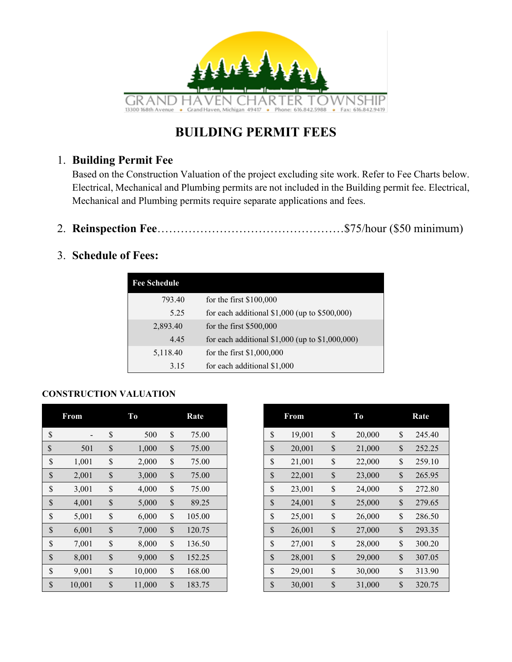

#### **BUILDING PERMIT FEES**

#### 1. **Building Permit Fee**

Based on the Construction Valuation of the project excluding site work. Refer to Fee Charts below. Electrical, Mechanical and Plumbing permits are not included in the Building permit fee. Electrical, Mechanical and Plumbing permits require separate applications and fees.

2. **Reinspection Fee**…………………………………………\$75/hour (\$50 minimum)

#### 3. **Schedule of Fees:**

| <b>Fee Schedule</b> |                                                   |
|---------------------|---------------------------------------------------|
| 793.40              | for the first $$100,000$                          |
| 5.25                | for each additional $$1,000$ (up to $$500,000$ )  |
| 2,893.40            | for the first \$500,000                           |
| 4.45                | for each additional \$1,000 (up to $$1,000,000$ ) |
| 5,118.40            | for the first $$1,000,000$                        |
| 3.15                | for each additional \$1,000                       |

#### **CONSTRUCTION VALUATION**

|      | From                     |               | To     |               | Rate   | From         |               | T <sub>o</sub> | Rate         |
|------|--------------------------|---------------|--------|---------------|--------|--------------|---------------|----------------|--------------|
| \$   | $\overline{\phantom{a}}$ | \$            | 500    | \$            | 75.00  | \$<br>19,001 | $\$$          | 20,000         | \$<br>245.40 |
| \$   | 501                      | $\mathcal{S}$ | 1,000  | $\mathcal{S}$ | 75.00  | \$<br>20,001 | $\mathcal{S}$ | 21,000         | \$<br>252.25 |
| $\$$ | 1,001                    | \$            | 2,000  | \$            | 75.00  | \$<br>21,001 | \$            | 22,000         | \$<br>259.10 |
| $\$$ | 2,001                    | $\$$          | 3,000  | \$            | 75.00  | \$<br>22,001 | $\mathbb{S}$  | 23,000         | \$<br>265.95 |
| $\$$ | 3,001                    | $\$$          | 4,000  | $\mathcal{S}$ | 75.00  | \$<br>23,001 | \$            | 24,000         | \$<br>272.80 |
| $\$$ | 4,001                    | $\mathcal{S}$ | 5,000  | $\mathcal{S}$ | 89.25  | \$<br>24,001 | $\mathbb{S}$  | 25,000         | \$<br>279.65 |
| $\$$ | 5,001                    | $\$$          | 6,000  | \$            | 105.00 | \$<br>25,001 | \$            | 26,000         | \$<br>286.50 |
| $\$$ | 6,001                    | $\$$          | 7,000  | $\mathcal{S}$ | 120.75 | \$<br>26,001 | $\mathbb{S}$  | 27,000         | \$<br>293.35 |
| \$   | 7,001                    | \$            | 8,000  | \$            | 136.50 | \$<br>27,001 | \$            | 28,000         | \$<br>300.20 |
| $\$$ | 8,001                    | $\mathcal{S}$ | 9,000  | $\mathcal{S}$ | 152.25 | \$<br>28,001 | $\mathbb{S}$  | 29,000         | \$<br>307.05 |
| $\$$ | 9,001                    | \$            | 10,000 | \$            | 168.00 | \$<br>29,001 | \$            | 30,000         | \$<br>313.90 |
| $\$$ | 10,001                   | \$            | 11,000 | \$            | 183.75 | \$<br>30,001 | \$            | 31,000         | \$<br>320.75 |

| <b>From</b>              | Тo           |               | Rate   |
|--------------------------|--------------|---------------|--------|
| $\overline{\phantom{a}}$ | \$<br>500    | $\mathcal{S}$ | 75.00  |
| 501                      | \$<br>1,000  | $\mathcal{S}$ | 75.00  |
| 1,001                    | \$<br>2,000  | \$            | 75.00  |
| 2,001                    | \$<br>3,000  | $\mathcal{S}$ | 75.00  |
| 3,001                    | \$<br>4,000  | \$            | 75.00  |
| 4,001                    | \$<br>5,000  | $\mathcal{S}$ | 89.25  |
| 5,001                    | \$<br>6,000  | \$            | 105.00 |
| 6,001                    | \$<br>7,000  | $\mathcal{S}$ | 120.75 |
| 7,001                    | \$<br>8,000  | \$            | 136.50 |
| 8,001                    | \$<br>9,000  | $\mathcal{S}$ | 152.25 |
| 9,001                    | \$<br>10,000 | \$            | 168.00 |
| 10,001                   | \$<br>11,000 | \$            | 183.75 |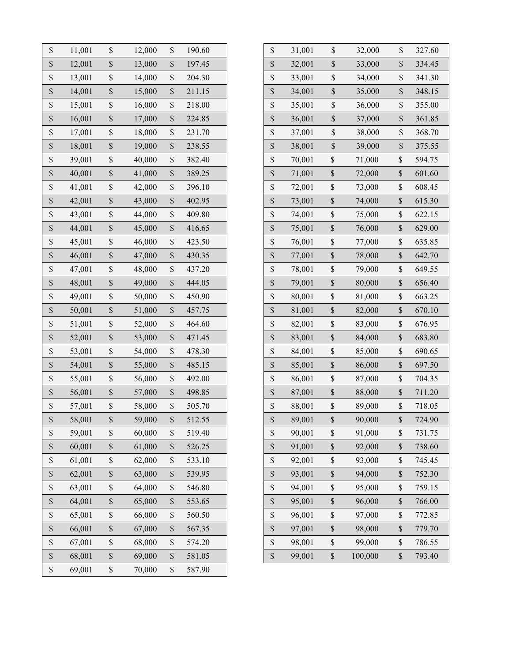| \$<br>12,001<br>\$<br>\$<br>197.45<br>\$<br>13,000<br>32,001<br>33,000<br>\$<br>\$<br>$\$$<br>$\mathbb{S}$<br>204.30<br>13,001<br>14,000<br>33,001<br>34,000 |
|--------------------------------------------------------------------------------------------------------------------------------------------------------------|
|                                                                                                                                                              |
|                                                                                                                                                              |
| \$<br>\$<br>$\mathbb S$<br>\$<br>211.15<br>14,001<br>15,000<br>35,000<br>34,001                                                                              |
| \$<br>\$<br>\$<br>218.00<br>\$<br>15,001<br>16,000<br>36,000<br>35,001                                                                                       |
| \$<br>\$<br>\$<br>16,001<br>\$<br>17,000<br>224.85<br>36,001<br>37,000                                                                                       |
| \$<br>\$<br>\$<br>231.70<br>\$<br>17,001<br>18,000<br>37,001<br>38,000                                                                                       |
| \$<br>\$<br>\$<br>$\$$<br>18,001<br>19,000<br>238.55<br>38,001<br>39,000                                                                                     |
| \$<br>\$<br>$\mathbb S$<br>\$<br>39,001<br>40,000<br>382.40<br>71,000<br>70,001                                                                              |
| \$<br>\$<br>\$<br>40,001<br>41,000<br>389.25<br>$\$$<br>71,001<br>72,000                                                                                     |
| \$<br>\$<br>\$<br>$\$$<br>41,001<br>396.10<br>42,000<br>72,001<br>73,000                                                                                     |
| \$<br>\$<br>\$<br>$\mathbb{S}% _{t}\left( t\right) \equiv\mathbb{S}_{t}\left( t\right)$<br>42,001<br>402.95<br>43,000<br>73,001<br>74,000                    |
| \$<br>$\$$<br>$\$$<br>43,001<br>\$<br>409.80<br>44,000<br>74,001<br>75,000                                                                                   |
| \$<br>\$<br>\$<br>$\mathbb{S}$<br>44,001<br>45,000<br>416.65<br>75,001<br>76,000                                                                             |
| \$<br>$\mathbb S$<br>\$<br>\$<br>45,001<br>46,000<br>423.50<br>76,001<br>77,000                                                                              |
| \$<br>\$<br>\$<br>$\mathbb{S}$<br>46,001<br>47,000<br>430.35<br>78,000<br>77,001                                                                             |
| $\$$<br>\$<br>$\$$<br>\$<br>47,001<br>48,000<br>437.20<br>78,001<br>79,000                                                                                   |
| \$<br>\$<br>48,001<br>49,000<br>\$<br>444.05<br>$\$$<br>80,000<br>79,001                                                                                     |
| $\mathbb S$<br>\$<br>\$<br>$\$$<br>49,001<br>50,000<br>450.90<br>80,001<br>81,000                                                                            |
| \$<br>\$<br>\$<br>$\mathbb{S}$<br>50,001<br>51,000<br>457.75<br>81,001<br>82,000                                                                             |
| \$<br>\$<br>\$<br>$\$$<br>51,001<br>52,000<br>464.60<br>82,001<br>83,000                                                                                     |
| \$<br>\$<br>\$<br>$\$$<br>52,001<br>53,000<br>471.45<br>83,001<br>84,000                                                                                     |
| \$<br>\$<br>\$<br>$\mathbb{S}% _{t}\left( t\right) \equiv\mathbb{S}_{t}\left( t\right)$<br>478.30<br>85,000<br>53,001<br>54,000<br>84,001                    |
| $\$$<br>\$<br>\$<br>485.15<br>$\$$<br>86,000<br>54,001<br>55,000<br>85,001                                                                                   |
| \$<br>\$<br>\$<br>$\$$<br>56,000<br>492.00<br>86,001<br>87,000<br>55,001                                                                                     |
| \$<br>$\mathbb{S}$<br>\$<br>\$<br>56,001<br>57,000<br>498.85<br>88,000<br>87,001                                                                             |
| \$<br>\$<br>\$<br>$\$$<br>57,001<br>58,000<br>505.70<br>88,001<br>89,000                                                                                     |
| \$<br>\$<br>\$<br>$\mathbb S$<br>58,001<br>59,000<br>89,001<br>90,000<br>512.55                                                                              |
| \$<br>\$<br>59,001<br>60,000<br>\$<br>519.40<br>90,001<br>\$<br>91,000                                                                                       |
| \$<br>\$<br>\$<br>$\$$<br>60,001<br>61,000<br>526.25<br>91,001<br>92,000                                                                                     |
| \$<br>\$<br>61,001<br>62,000<br>\$<br>533.10<br>92,001<br>\$<br>93,000                                                                                       |
| \$<br>\$<br>62,001<br>63,000<br>\$<br>539.95<br>93,001<br>$\$$<br>94,000                                                                                     |
| \$<br>$\mathbb{S}$<br>\$<br>\$<br>63,001<br>64,000<br>546.80<br>95,000<br>94,001                                                                             |
| \$<br>\$<br>$\$$<br>64,001<br>65,000<br>\$<br>96,000<br>553.65<br>95,001                                                                                     |
| \$<br>\$<br>$\$$<br>66,000<br>\$<br>560.50<br>65,001<br>96,001<br>97,000                                                                                     |
| \$<br>66,001<br>\$<br>67,000<br>\$<br>567.35<br>$\$$<br>98,000<br>97,001                                                                                     |
| \$<br>\$<br>\$<br>$\$$<br>67,001<br>68,000<br>574.20<br>98,001<br>99,000                                                                                     |
| \$<br>\$<br>$\$$<br>\$<br>68,001<br>69,000<br>581.05<br>99,001<br>100,000                                                                                    |
| $\mathbb S$<br>69,001<br>$\mathbb{S}$<br>70,000<br>587.90                                                                                                    |

| \$<br>31,001 | \$<br>32,000  | \$<br>327.60 |
|--------------|---------------|--------------|
| \$<br>32,001 | \$<br>33,000  | \$<br>334.45 |
| \$<br>33,001 | \$<br>34,000  | \$<br>341.30 |
| \$<br>34,001 | \$<br>35,000  | \$<br>348.15 |
| \$<br>35,001 | \$<br>36,000  | \$<br>355.00 |
| \$<br>36,001 | \$<br>37,000  | \$<br>361.85 |
| \$<br>37,001 | \$<br>38,000  | \$<br>368.70 |
| \$<br>38,001 | \$<br>39,000  | \$<br>375.55 |
| \$<br>70,001 | \$<br>71,000  | \$<br>594.75 |
| \$<br>71,001 | \$<br>72,000  | \$<br>601.60 |
| \$<br>72,001 | \$<br>73,000  | \$<br>608.45 |
| \$<br>73,001 | \$<br>74,000  | \$<br>615.30 |
| \$<br>74,001 | \$<br>75,000  | \$<br>622.15 |
| \$<br>75,001 | \$<br>76,000  | \$<br>629.00 |
| \$<br>76,001 | \$<br>77,000  | \$<br>635.85 |
| \$<br>77,001 | \$<br>78,000  | \$<br>642.70 |
| \$<br>78,001 | \$<br>79,000  | \$<br>649.55 |
| \$<br>79,001 | \$<br>80,000  | \$<br>656.40 |
| \$<br>80,001 | \$<br>81,000  | \$<br>663.25 |
| \$<br>81,001 | \$<br>82,000  | \$<br>670.10 |
| \$<br>82,001 | \$<br>83,000  | \$<br>676.95 |
| \$<br>83,001 | \$<br>84,000  | \$<br>683.80 |
| \$<br>84,001 | \$<br>85,000  | \$<br>690.65 |
| \$<br>85,001 | \$<br>86,000  | \$<br>697.50 |
| \$<br>86,001 | \$<br>87,000  | \$<br>704.35 |
| \$<br>87,001 | \$<br>88,000  | \$<br>711.20 |
| \$<br>88,001 | \$<br>89,000  | \$<br>718.05 |
| \$<br>89,001 | \$<br>90,000  | \$<br>724.90 |
| \$<br>90,001 | \$<br>91,000  | \$<br>731.75 |
| \$<br>91,001 | \$<br>92,000  | \$<br>738.60 |
| \$<br>92,001 | \$<br>93,000  | \$<br>745.45 |
| \$<br>93,001 | \$<br>94,000  | \$<br>752.30 |
| \$<br>94,001 | \$<br>95,000  | \$<br>759.15 |
| \$<br>95,001 | \$<br>96,000  | \$<br>766.00 |
| \$<br>96,001 | \$<br>97,000  | \$<br>772.85 |
| \$<br>97,001 | \$<br>98,000  | \$<br>779.70 |
| \$<br>98,001 | \$<br>99,000  | \$<br>786.55 |
| \$<br>99,001 | \$<br>100,000 | \$<br>793.40 |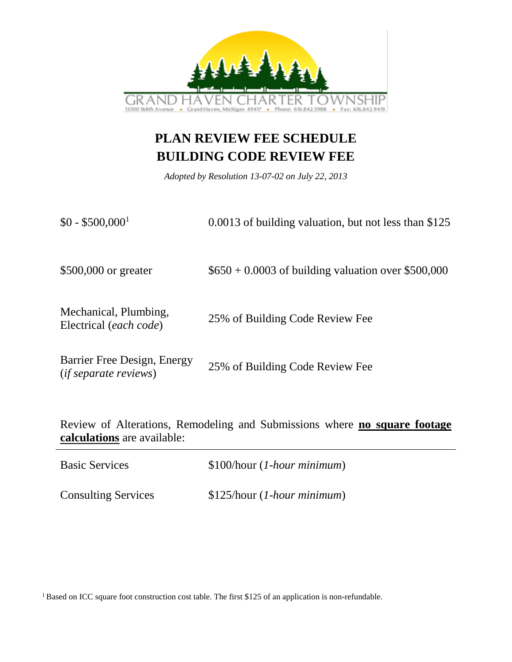

## **PLAN REVIEW FEE SCHEDULE BUILDING CODE REVIEW FEE**

*Adopted by Resolution 13-07-02 on July 22, 2013*

| $$0 - $500,000$ <sup>1</sup>                                | 0.0013 of building valuation, but not less than \$125 |
|-------------------------------------------------------------|-------------------------------------------------------|
| \$500,000 or greater                                        | $$650 + 0.0003$ of building valuation over \$500,000  |
| Mechanical, Plumbing,<br>Electrical (each code)             | 25% of Building Code Review Fee                       |
| Barrier Free Design, Energy<br><i>(if separate reviews)</i> | 25% of Building Code Review Fee                       |

Review of Alterations, Remodeling and Submissions where **no square footage calculations** are available:

| <b>Basic Services</b>      | $$100/hour (1-hour minimum)$ |
|----------------------------|------------------------------|
| <b>Consulting Services</b> | $$125/hour (1-hour minimum)$ |

<sup>1</sup> Based on ICC square foot construction cost table. The first \$125 of an application is non-refundable.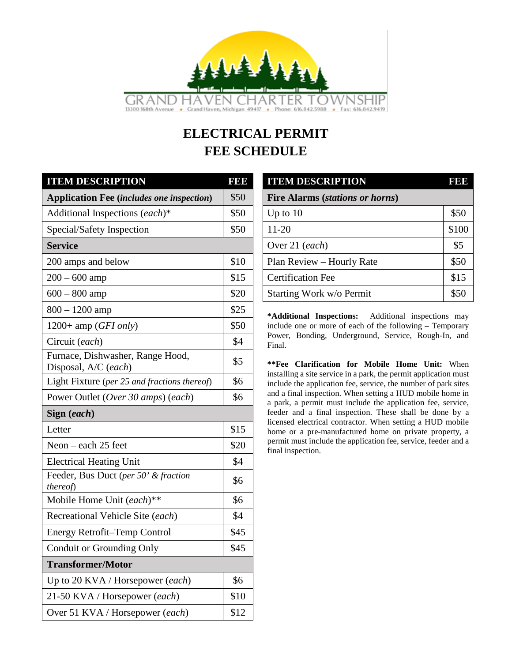

# **ELECTRICAL PERMIT FEE SCHEDULE**

| <b>ITEM DESCRIPTION</b>                                  | <b>BBB</b> | <b>ITEM DESCRIPTION</b>                                                                                                            | <b>E</b> |  |  |
|----------------------------------------------------------|------------|------------------------------------------------------------------------------------------------------------------------------------|----------|--|--|
| <b>Application Fee (includes one inspection)</b>         | \$50       | <b>Fire Alarms (stations or horns)</b>                                                                                             |          |  |  |
| Additional Inspections (each)*                           | \$50       | Up to $10$                                                                                                                         | \$50     |  |  |
| Special/Safety Inspection                                | \$50       | $11 - 20$                                                                                                                          | \$100    |  |  |
| <b>Service</b>                                           |            | Over 21 (each)                                                                                                                     | \$5      |  |  |
| 200 amps and below                                       | \$10       | Plan Review - Hourly Rate                                                                                                          | \$50     |  |  |
| $200 - 600$ amp                                          | \$15       | <b>Certification Fee</b>                                                                                                           | \$15     |  |  |
| $600 - 800$ amp                                          | \$20       | Starting Work w/o Permit                                                                                                           | \$50     |  |  |
| $800 - 1200$ amp                                         | \$25       | *Additional Inspections:<br>Additional inspections may                                                                             |          |  |  |
| $1200+$ amp ( <i>GFI only</i> )                          | \$50       | include one or more of each of the following - Temporary                                                                           |          |  |  |
| Circuit (each)                                           | \$4        | Power, Bonding, Underground, Service, Rough-In, and<br>Final.                                                                      |          |  |  |
| Furnace, Dishwasher, Range Hood,<br>Disposal, A/C (each) | \$5        | **Fee Clarification for Mobile Home Unit: When                                                                                     |          |  |  |
| Light Fixture (per 25 and fractions thereof)             | \$6        | installing a site service in a park, the permit application must<br>include the application fee, service, the number of park sites |          |  |  |
| Power Outlet (Over 30 amps) (each)                       | \$6        | and a final inspection. When setting a HUD mobile home in<br>a park, a permit must include the application fee, service,           |          |  |  |
| Sign (each)                                              |            | feeder and a final inspection. These shall be done by a                                                                            |          |  |  |
| Letter                                                   | \$15       | licensed electrical contractor. When setting a HUD mobile<br>home or a pre-manufactured home on private property, a                |          |  |  |
| Neon $-$ each 25 feet                                    | \$20       | permit must include the application fee, service, feeder and a<br>final inspection.                                                |          |  |  |
| <b>Electrical Heating Unit</b>                           | \$4        |                                                                                                                                    |          |  |  |
| Feeder, Bus Duct (per 50' & fraction<br>thereof)         | \$6        |                                                                                                                                    |          |  |  |
| Mobile Home Unit (each)**                                | \$6        |                                                                                                                                    |          |  |  |
| Recreational Vehicle Site (each)                         | \$4        |                                                                                                                                    |          |  |  |
| Energy Retrofit-Temp Control                             | \$45       |                                                                                                                                    |          |  |  |
| Conduit or Grounding Only                                | \$45       |                                                                                                                                    |          |  |  |
| <b>Transformer/Motor</b>                                 |            |                                                                                                                                    |          |  |  |
| Up to 20 KVA / Horsepower (each)                         | \$6        |                                                                                                                                    |          |  |  |
| 21-50 KVA / Horsepower (each)                            | \$10       |                                                                                                                                    |          |  |  |
| Over 51 KVA / Horsepower (each)                          | \$12       |                                                                                                                                    |          |  |  |

| <b>ITEM DESCRIPTION</b>                | 1  3  3 |
|----------------------------------------|---------|
| <b>Fire Alarms (stations or horns)</b> |         |
| Up to $10$                             | \$50    |
| $11 - 20$                              | \$100   |
| Over 21 (each)                         | \$5     |
| Plan Review - Hourly Rate              | \$50    |
| <b>Certification Fee</b>               | \$15    |
| Starting Work w/o Permit               | \$50    |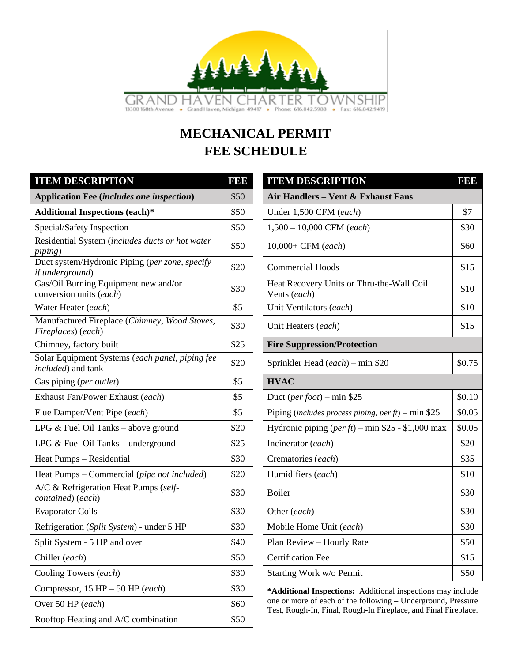

# **MECHANICAL PERMIT FEE SCHEDULE**

| <b>ITEM DESCRIPTION</b>                                               | 1999 | <b>ITEM DESCRIPTION</b>                                         | <b>BBB</b> |
|-----------------------------------------------------------------------|------|-----------------------------------------------------------------|------------|
| <b>Application Fee (includes one inspection)</b>                      | \$50 | Air Handlers - Vent & Exhaust Fans                              |            |
| <b>Additional Inspections (each)*</b>                                 | \$50 | Under 1,500 CFM (each)                                          | \$7        |
| Special/Safety Inspection                                             | \$50 | $1,500 - 10,000$ CFM (each)                                     | \$30       |
| Residential System (includes ducts or hot water<br><i>piping</i> )    | \$50 | $10,000 + \text{CFM}$ (each)                                    | \$60       |
| Duct system/Hydronic Piping (per zone, specify<br>if underground)     | \$20 | <b>Commercial Hoods</b>                                         | \$15       |
| Gas/Oil Burning Equipment new and/or<br>conversion units (each)       | \$30 | Heat Recovery Units or Thru-the-Wall Coil<br>Vents (each)       | \$10       |
| Water Heater (each)                                                   | \$5  | Unit Ventilators (each)                                         | \$10       |
| Manufactured Fireplace (Chimney, Wood Stoves,<br>Fireplaces) (each)   | \$30 | Unit Heaters (each)                                             | \$15       |
| Chimney, factory built                                                | \$25 | <b>Fire Suppression/Protection</b>                              |            |
| Solar Equipment Systems (each panel, piping fee<br>included) and tank | \$20 | Sprinkler Head (each) – min \$20                                | \$0.75     |
| Gas piping (per outlet)                                               | \$5  | <b>HVAC</b>                                                     |            |
| Exhaust Fan/Power Exhaust (each)                                      | \$5  | Duct (per foot) – min \$25                                      | \$0.10     |
| Flue Damper/Vent Pipe (each)                                          | \$5  | Piping (includes process piping, per $ft$ ) – min \$25          | \$0.05     |
| LPG $&$ Fuel Oil Tanks – above ground                                 | \$20 | Hydronic piping $(\text{per ft})$ – min \$25 - \$1,000 max      | \$0.05     |
| LPG $&$ Fuel Oil Tanks – underground                                  | \$25 | Incinerator (each)                                              | \$20       |
| Heat Pumps - Residential                                              | \$30 | Crematories (each)                                              | \$35       |
| Heat Pumps – Commercial (pipe not included)                           | \$20 | Humidifiers (each)                                              | \$10       |
| A/C & Refrigeration Heat Pumps (self-<br>contained) (each)            | \$30 | Boiler                                                          | \$30       |
| <b>Evaporator Coils</b>                                               | \$30 | Other (each)                                                    | \$30       |
| Refrigeration (Split System) - under 5 HP                             | \$30 | Mobile Home Unit (each)                                         | \$30       |
| Split System - 5 HP and over                                          | \$40 | Plan Review - Hourly Rate                                       | \$50       |
| Chiller (each)                                                        | \$50 | <b>Certification Fee</b>                                        | \$15       |
| Cooling Towers (each)                                                 | \$30 | Starting Work w/o Permit                                        | \$50       |
| Compressor, $15$ HP $-$ 50 HP (each)                                  | \$30 | *Additional Inspections: Additional inspections may include     |            |
| Over 50 HP (each)                                                     | \$60 | one or more of each of the following - Underground, Pressure    |            |
| Rooftop Heating and A/C combination                                   | \$50 | Test, Rough-In, Final, Rough-In Fireplace, and Final Fireplace. |            |

| <b>ITEM DESCRIPTION</b>                                    | 1999   |
|------------------------------------------------------------|--------|
| Air Handlers - Vent & Exhaust Fans                         |        |
| Under 1,500 CFM (each)                                     | \$7    |
| $1,500 - 10,000$ CFM (each)                                | \$30   |
| 10,000+ CFM (each)                                         | \$60   |
| <b>Commercial Hoods</b>                                    | \$15   |
| Heat Recovery Units or Thru-the-Wall Coil<br>Vents (each)  | \$10   |
| Unit Ventilators (each)                                    | \$10   |
| Unit Heaters (each)                                        | \$15   |
| <b>Fire Suppression/Protection</b>                         |        |
| Sprinkler Head (each) – min \$20                           | \$0.75 |
| <b>HVAC</b>                                                |        |
| Duct (per foot) – min \$25                                 | \$0.10 |
| Piping (includes process piping, per $ft$ ) – min \$25     | \$0.05 |
| Hydronic piping $(\text{per ft})$ – min \$25 - \$1,000 max | \$0.05 |
| Incinerator (each)                                         | \$20   |
| Crematories (each)                                         | \$35   |
| Humidifiers (each)                                         | \$10   |
| Boiler                                                     | \$30   |
| Other (each)                                               | \$30   |
| Mobile Home Unit (each)                                    | \$30   |
| Plan Review - Hourly Rate                                  | \$50   |
| <b>Certification Fee</b>                                   | \$15   |
| Starting Work w/o Permit                                   | \$50   |